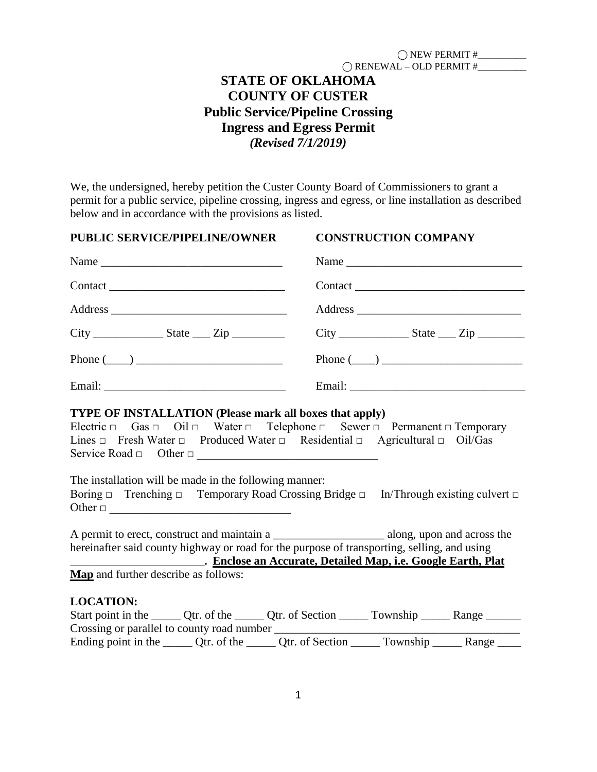| $\bigcap$ NEW PERMIT#            |  |
|----------------------------------|--|
| $\bigcap$ RENEWAL – OLD PERMIT # |  |

# **STATE OF OKLAHOMA COUNTY OF CUSTER Public Service/Pipeline Crossing Ingress and Egress Permit** *(Revised 7/1/2019)*

We, the undersigned, hereby petition the Custer County Board of Commissioners to grant a permit for a public service, pipeline crossing, ingress and egress, or line installation as described below and in accordance with the provisions as listed.

| <b>PUBLIC SERVICE/PIPELINE/OWNER</b>                                                                                                                                                                                                                                                                                          | <b>CONSTRUCTION COMPANY</b>                                                                      |
|-------------------------------------------------------------------------------------------------------------------------------------------------------------------------------------------------------------------------------------------------------------------------------------------------------------------------------|--------------------------------------------------------------------------------------------------|
|                                                                                                                                                                                                                                                                                                                               |                                                                                                  |
|                                                                                                                                                                                                                                                                                                                               |                                                                                                  |
|                                                                                                                                                                                                                                                                                                                               |                                                                                                  |
|                                                                                                                                                                                                                                                                                                                               |                                                                                                  |
| Phone $(\_\_)$                                                                                                                                                                                                                                                                                                                | Phone $(\_\_)$                                                                                   |
|                                                                                                                                                                                                                                                                                                                               |                                                                                                  |
| Lines $\Box$ Fresh Water $\Box$ Produced Water $\Box$ Residential $\Box$ Agricultural $\Box$ Oil/Gas<br>Service Road $\Box$ Other $\Box$<br>The installation will be made in the following manner:<br>Boring $\Box$ Trenching $\Box$ Temporary Road Crossing Bridge $\Box$ In/Through existing culvert $\Box$<br>Other $\Box$ |                                                                                                  |
| hereinafter said county highway or road for the purpose of transporting, selling, and using<br><b>Example 2016 Enclose an Accurate, Detailed Map, i.e. Google Earth, Plat</b><br>Map and further describe as follows:                                                                                                         |                                                                                                  |
| <b>LOCATION:</b>                                                                                                                                                                                                                                                                                                              |                                                                                                  |
|                                                                                                                                                                                                                                                                                                                               | Start point in the ______ Qtr. of the ______ Qtr. of Section ______ Township ______ Range ______ |
| Ending point in the ______ Qtr. of the ______ Qtr. of Section ______ Township ______ Range _____                                                                                                                                                                                                                              |                                                                                                  |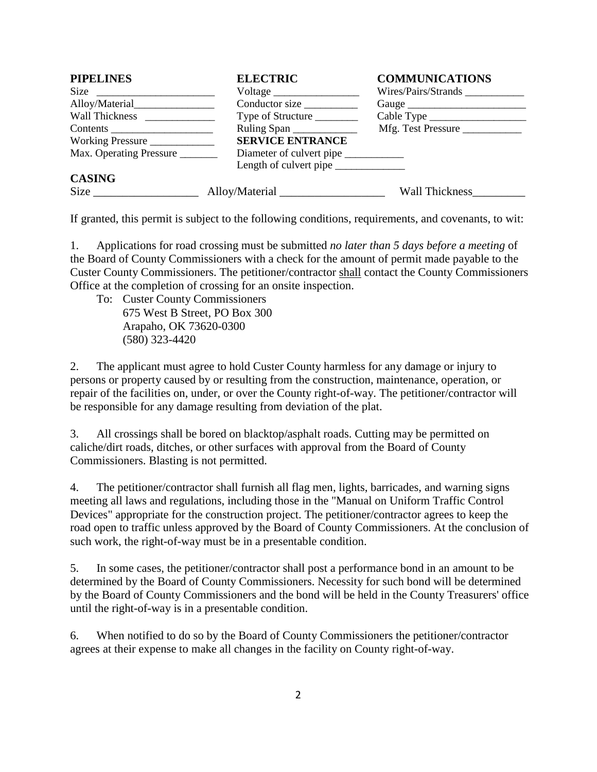| <b>PIPELINES</b>        | <b>ELECTRIC</b>          | <b>COMMUNICATIONS</b> |
|-------------------------|--------------------------|-----------------------|
|                         | Voltage                  | Wires/Pairs/Strands   |
|                         | Conductor size           |                       |
|                         | Type of Structure        |                       |
|                         | Ruling Span              | Mfg. Test Pressure    |
| Working Pressure        | <b>SERVICE ENTRANCE</b>  |                       |
| Max. Operating Pressure | Diameter of culvert pipe |                       |
|                         | Length of culvert pipe   |                       |
| <b>CASING</b>           |                          |                       |
|                         |                          | Wall Thickness        |

If granted, this permit is subject to the following conditions, requirements, and covenants, to wit:

1. Applications for road crossing must be submitted *no later than 5 days before a meeting* of the Board of County Commissioners with a check for the amount of permit made payable to the Custer County Commissioners. The petitioner/contractor shall contact the County Commissioners Office at the completion of crossing for an onsite inspection.

To: Custer County Commissioners 675 West B Street, PO Box 300 Arapaho, OK 73620-0300 (580) 323-4420

2. The applicant must agree to hold Custer County harmless for any damage or injury to persons or property caused by or resulting from the construction, maintenance, operation, or repair of the facilities on, under, or over the County right-of-way. The petitioner/contractor will be responsible for any damage resulting from deviation of the plat.

3. All crossings shall be bored on blacktop/asphalt roads. Cutting may be permitted on caliche/dirt roads, ditches, or other surfaces with approval from the Board of County Commissioners. Blasting is not permitted.

4. The petitioner/contractor shall furnish all flag men, lights, barricades, and warning signs meeting all laws and regulations, including those in the "Manual on Uniform Traffic Control Devices" appropriate for the construction project. The petitioner/contractor agrees to keep the road open to traffic unless approved by the Board of County Commissioners. At the conclusion of such work, the right-of-way must be in a presentable condition.

5. In some cases, the petitioner/contractor shall post a performance bond in an amount to be determined by the Board of County Commissioners. Necessity for such bond will be determined by the Board of County Commissioners and the bond will be held in the County Treasurers' office until the right-of-way is in a presentable condition.

6. When notified to do so by the Board of County Commissioners the petitioner/contractor agrees at their expense to make all changes in the facility on County right-of-way.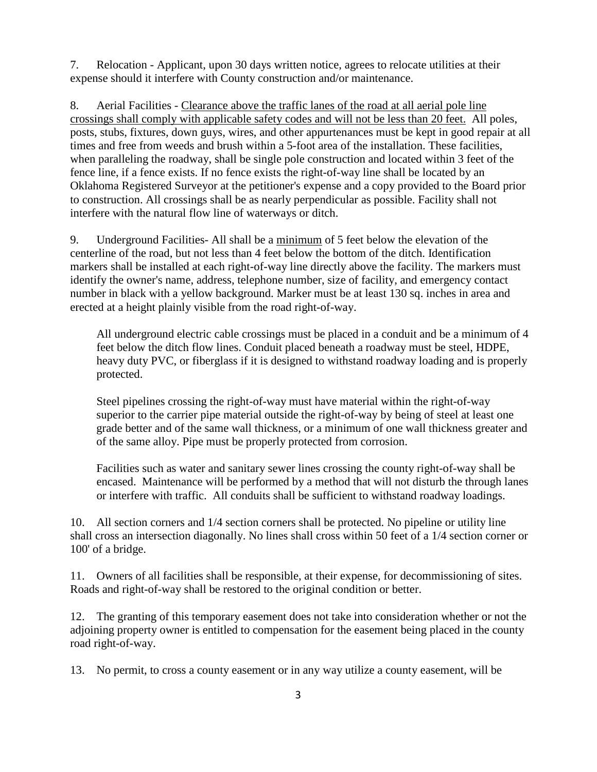7. Relocation - Applicant, upon 30 days written notice, agrees to relocate utilities at their expense should it interfere with County construction and/or maintenance.

8. Aerial Facilities - Clearance above the traffic lanes of the road at all aerial pole line crossings shall comply with applicable safety codes and will not be less than 20 feet. All poles, posts, stubs, fixtures, down guys, wires, and other appurtenances must be kept in good repair at all times and free from weeds and brush within a 5-foot area of the installation. These facilities, when paralleling the roadway, shall be single pole construction and located within 3 feet of the fence line, if a fence exists. If no fence exists the right-of-way line shall be located by an Oklahoma Registered Surveyor at the petitioner's expense and a copy provided to the Board prior to construction. All crossings shall be as nearly perpendicular as possible. Facility shall not interfere with the natural flow line of waterways or ditch.

9. Underground Facilities- All shall be a minimum of 5 feet below the elevation of the centerline of the road, but not less than 4 feet below the bottom of the ditch. Identification markers shall be installed at each right-of-way line directly above the facility. The markers must identify the owner's name, address, telephone number, size of facility, and emergency contact number in black with a yellow background. Marker must be at least 130 sq. inches in area and erected at a height plainly visible from the road right-of-way.

All underground electric cable crossings must be placed in a conduit and be a minimum of 4 feet below the ditch flow lines. Conduit placed beneath a roadway must be steel, HDPE, heavy duty PVC, or fiberglass if it is designed to withstand roadway loading and is properly protected.

Steel pipelines crossing the right-of-way must have material within the right-of-way superior to the carrier pipe material outside the right-of-way by being of steel at least one grade better and of the same wall thickness, or a minimum of one wall thickness greater and of the same alloy. Pipe must be properly protected from corrosion.

Facilities such as water and sanitary sewer lines crossing the county right-of-way shall be encased. Maintenance will be performed by a method that will not disturb the through lanes or interfere with traffic. All conduits shall be sufficient to withstand roadway loadings.

10. All section corners and 1/4 section corners shall be protected. No pipeline or utility line shall cross an intersection diagonally. No lines shall cross within 50 feet of a 1/4 section corner or 100' of a bridge.

11. Owners of all facilities shall be responsible, at their expense, for decommissioning of sites. Roads and right-of-way shall be restored to the original condition or better.

12. The granting of this temporary easement does not take into consideration whether or not the adjoining property owner is entitled to compensation for the easement being placed in the county road right-of-way.

13. No permit, to cross a county easement or in any way utilize a county easement, will be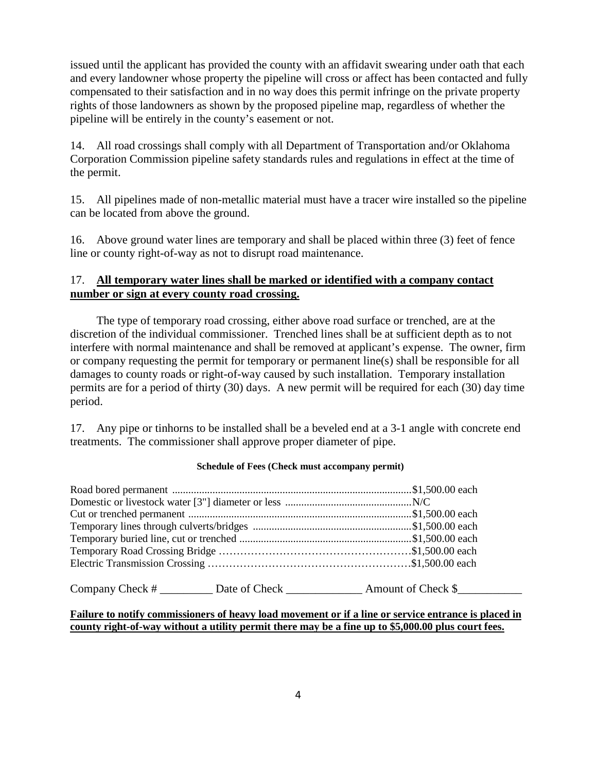issued until the applicant has provided the county with an affidavit swearing under oath that each and every landowner whose property the pipeline will cross or affect has been contacted and fully compensated to their satisfaction and in no way does this permit infringe on the private property rights of those landowners as shown by the proposed pipeline map, regardless of whether the pipeline will be entirely in the county's easement or not.

14. All road crossings shall comply with all Department of Transportation and/or Oklahoma Corporation Commission pipeline safety standards rules and regulations in effect at the time of the permit.

15. All pipelines made of non-metallic material must have a tracer wire installed so the pipeline can be located from above the ground.

16. Above ground water lines are temporary and shall be placed within three (3) feet of fence line or county right-of-way as not to disrupt road maintenance.

### 17. **All temporary water lines shall be marked or identified with a company contact number or sign at every county road crossing.**

The type of temporary road crossing, either above road surface or trenched, are at the discretion of the individual commissioner. Trenched lines shall be at sufficient depth as to not interfere with normal maintenance and shall be removed at applicant's expense. The owner, firm or company requesting the permit for temporary or permanent line(s) shall be responsible for all damages to county roads or right-of-way caused by such installation. Temporary installation permits are for a period of thirty (30) days. A new permit will be required for each (30) day time period.

17. Any pipe or tinhorns to be installed shall be a beveled end at a 3-1 angle with concrete end treatments. The commissioner shall approve proper diameter of pipe.

#### **Schedule of Fees (Check must accompany permit)**

| Company Check # | Date of Check | Amount of Check \$ |
|-----------------|---------------|--------------------|
|-----------------|---------------|--------------------|

#### **Failure to notify commissioners of heavy load movement or if a line or service entrance is placed in county right-of-way without a utility permit there may be a fine up to \$5,000.00 plus court fees.**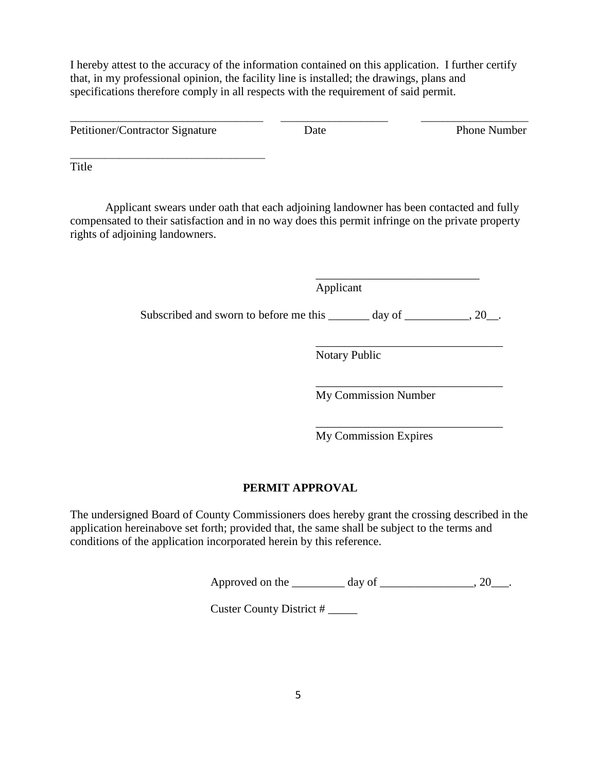I hereby attest to the accuracy of the information contained on this application. I further certify that, in my professional opinion, the facility line is installed; the drawings, plans and specifications therefore comply in all respects with the requirement of said permit.

\_\_\_\_\_\_\_\_\_\_\_\_\_\_\_\_\_\_\_\_\_\_\_\_\_\_\_\_\_\_\_\_\_\_\_\_ \_\_\_\_\_\_\_\_\_\_\_\_\_\_\_\_\_\_\_\_ \_\_\_\_\_\_\_\_\_\_\_\_\_\_\_\_\_\_\_\_ Petitioner/Contractor Signature Date Date Phone Number

\_\_\_\_\_\_\_\_\_\_\_\_\_\_\_\_\_\_\_\_\_\_\_\_\_\_\_\_\_\_\_\_\_\_\_\_\_\_\_\_

Title

 Applicant swears under oath that each adjoining landowner has been contacted and fully compensated to their satisfaction and in no way does this permit infringe on the private property rights of adjoining landowners.

 $\overline{\phantom{a}}$  , which is a set of the set of the set of the set of the set of the set of the set of the set of the set of the set of the set of the set of the set of the set of the set of the set of the set of the set of th

Applicant

Subscribed and sworn to before me this \_\_\_\_\_\_\_ day of \_\_\_\_\_\_\_\_\_, 20\_\_.

 $\overline{\phantom{a}}$  , and the contract of the contract of the contract of the contract of the contract of the contract of the contract of the contract of the contract of the contract of the contract of the contract of the contrac Notary Public

 $\overline{\phantom{a}}$  , and the contract of the contract of the contract of the contract of the contract of the contract of the contract of the contract of the contract of the contract of the contract of the contract of the contrac My Commission Number

 $\overline{\phantom{a}}$  , and the contract of the contract of the contract of the contract of the contract of the contract of the contract of the contract of the contract of the contract of the contract of the contract of the contrac My Commission Expires

# **PERMIT APPROVAL**

The undersigned Board of County Commissioners does hereby grant the crossing described in the application hereinabove set forth; provided that, the same shall be subject to the terms and conditions of the application incorporated herein by this reference.

Approved on the  $\qquad \qquad \text{day of} \qquad \qquad .20 \qquad .$ 

Custer County District # \_\_\_\_\_